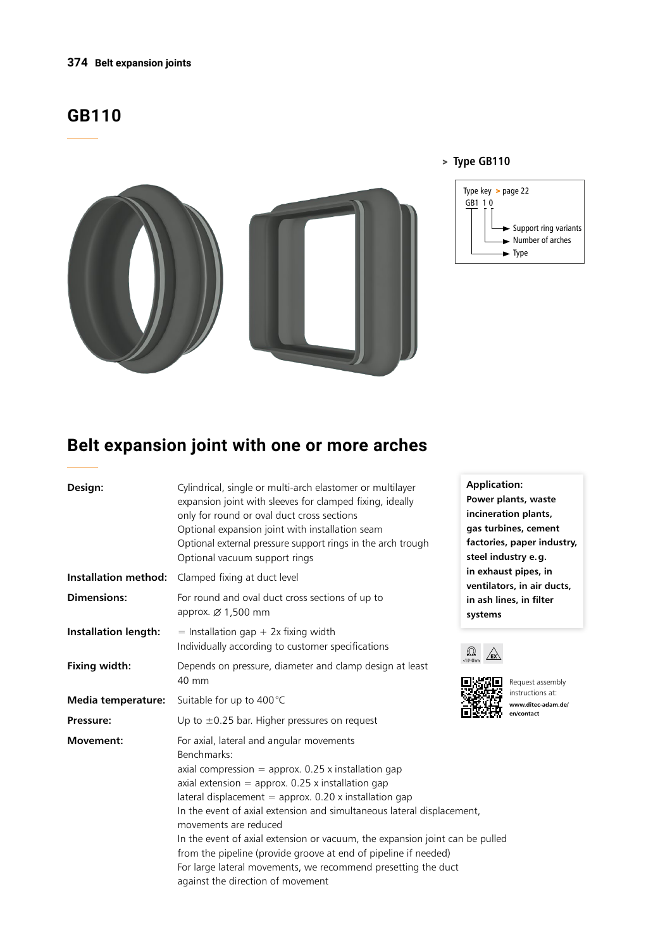#### **374 Belt expansion joints**

# **GB110**



#### > **Type GB110**



# **Belt expansion joint with one or more arches**

| Design:                     | Cylindrical, single or multi-arch elastomer or multilayer<br>expansion joint with sleeves for clamped fixing, ideally<br>only for round or oval duct cross sections<br>Optional expansion joint with installation seam<br>Optional external pressure support rings in the arch trough<br>Optional vacuum support rings                                                                                                                                                                                                                                                                          | <b>Application:</b><br>Power plants, waste<br>incineration plants,<br>gas turbines, cement<br>factories, paper industry,<br>steel industry e.g.<br>in exhaust pipes, in<br>ventilators, in air ducts,<br>in ash lines, in filter<br>systems<br>$\Omega$ |  |
|-----------------------------|-------------------------------------------------------------------------------------------------------------------------------------------------------------------------------------------------------------------------------------------------------------------------------------------------------------------------------------------------------------------------------------------------------------------------------------------------------------------------------------------------------------------------------------------------------------------------------------------------|---------------------------------------------------------------------------------------------------------------------------------------------------------------------------------------------------------------------------------------------------------|--|
| <b>Installation method:</b> | Clamped fixing at duct level                                                                                                                                                                                                                                                                                                                                                                                                                                                                                                                                                                    |                                                                                                                                                                                                                                                         |  |
| <b>Dimensions:</b>          | For round and oval duct cross sections of up to<br>approx. $\varnothing$ 1,500 mm                                                                                                                                                                                                                                                                                                                                                                                                                                                                                                               |                                                                                                                                                                                                                                                         |  |
| <b>Installation length:</b> | $=$ Installation gap + 2x fixing width<br>Individually according to customer specifications                                                                                                                                                                                                                                                                                                                                                                                                                                                                                                     |                                                                                                                                                                                                                                                         |  |
| Fixing width:               | Depends on pressure, diameter and clamp design at least<br>40 mm                                                                                                                                                                                                                                                                                                                                                                                                                                                                                                                                | <10 <sup>s</sup> Ohm<br>Request assembly                                                                                                                                                                                                                |  |
| Media temperature:          | instructions at:<br>Suitable for up to 400°C<br>www.ditec-adam.de/<br>en/contact<br>Up to $\pm$ 0.25 bar. Higher pressures on request                                                                                                                                                                                                                                                                                                                                                                                                                                                           |                                                                                                                                                                                                                                                         |  |
| Pressure:                   |                                                                                                                                                                                                                                                                                                                                                                                                                                                                                                                                                                                                 |                                                                                                                                                                                                                                                         |  |
| <b>Movement:</b>            | For axial, lateral and angular movements<br>Benchmarks:<br>axial compression $=$ approx. 0.25 x installation gap<br>axial extension = approx. $0.25$ x installation gap<br>lateral displacement $=$ approx. 0.20 x installation gap<br>In the event of axial extension and simultaneous lateral displacement,<br>movements are reduced<br>In the event of axial extension or vacuum, the expansion joint can be pulled<br>from the pipeline (provide groove at end of pipeline if needed)<br>For large lateral movements, we recommend presetting the duct<br>against the direction of movement |                                                                                                                                                                                                                                                         |  |